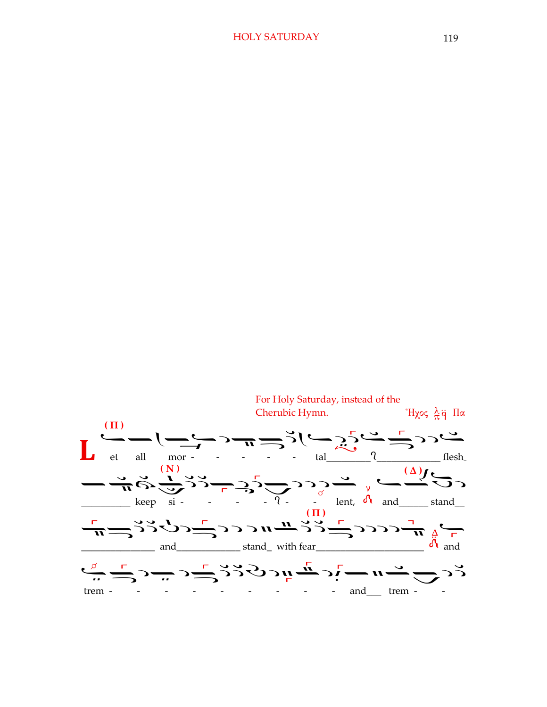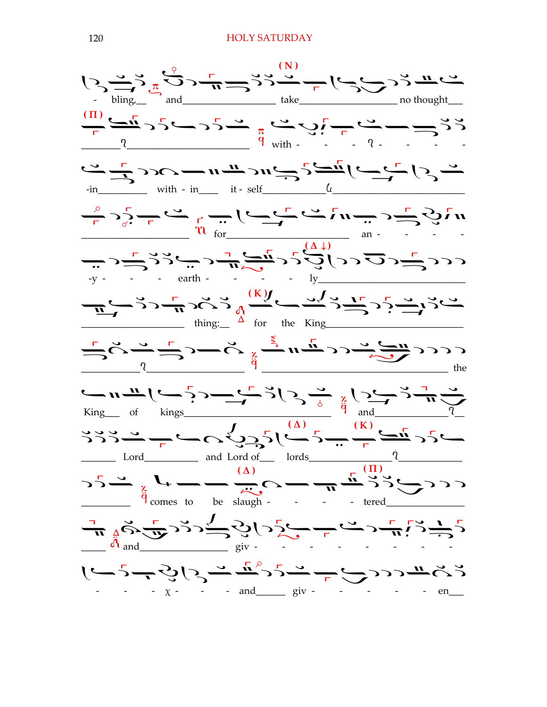